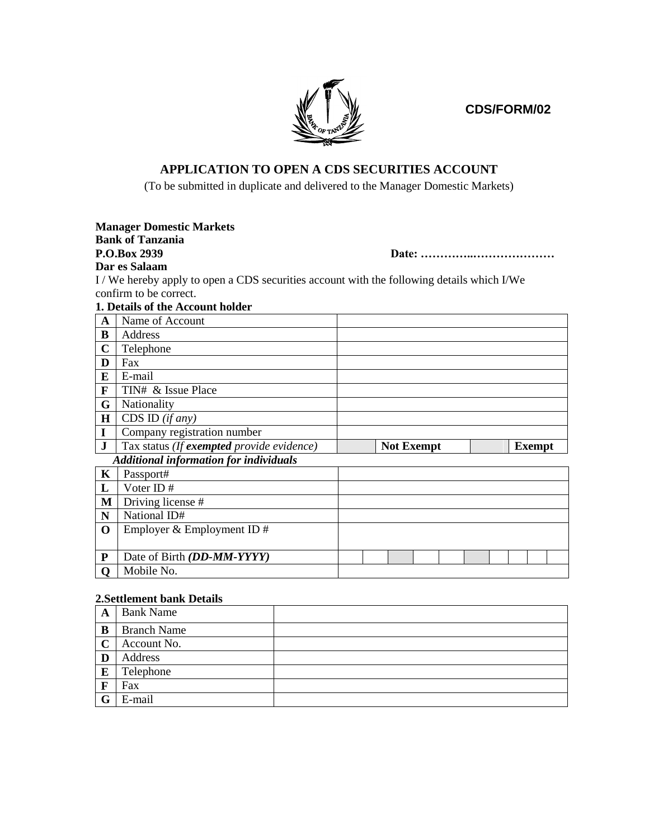**CDS/FORM/02**



## **APPLICATION TO OPEN A CDS SECURITIES ACCOUNT**

(To be submitted in duplicate and delivered to the Manager Domestic Markets)

|              | <b>Manager Domestic Markets</b>                                                          |                   |       |  |               |
|--------------|------------------------------------------------------------------------------------------|-------------------|-------|--|---------------|
|              | <b>Bank of Tanzania</b>                                                                  |                   |       |  |               |
|              | P.O.Box 2939                                                                             |                   | Date: |  |               |
|              | Dar es Salaam                                                                            |                   |       |  |               |
|              | I/We hereby apply to open a CDS securities account with the following details which I/We |                   |       |  |               |
|              | confirm to be correct.                                                                   |                   |       |  |               |
|              | 1. Details of the Account holder                                                         |                   |       |  |               |
| $\mathbf{A}$ | Name of Account                                                                          |                   |       |  |               |
| B            | Address                                                                                  |                   |       |  |               |
| $\mathbf C$  | Telephone                                                                                |                   |       |  |               |
| D            | Fax                                                                                      |                   |       |  |               |
| E            | E-mail                                                                                   |                   |       |  |               |
| F            | TIN# & Issue Place                                                                       |                   |       |  |               |
| G            | Nationality                                                                              |                   |       |  |               |
| $\bf H$      | CDS ID $(if any)$                                                                        |                   |       |  |               |
| I            | Company registration number                                                              |                   |       |  |               |
| $\mathbf{J}$ | Tax status (If exempted provide evidence)                                                | <b>Not Exempt</b> |       |  | <b>Exempt</b> |
|              | <b>Additional information for individuals</b>                                            |                   |       |  |               |
| $\mathbf K$  | Passport#                                                                                |                   |       |  |               |
| L            | Voter ID#                                                                                |                   |       |  |               |
| M            | Driving license #                                                                        |                   |       |  |               |
| ${\bf N}$    | National ID#                                                                             |                   |       |  |               |
| $\mathbf 0$  | Employer & Employment ID $#$                                                             |                   |       |  |               |
|              |                                                                                          |                   |       |  |               |
| P            | Date of Birth (DD-MM-YYYY)                                                               |                   |       |  |               |
| O            | Mobile No.                                                                               |                   |       |  |               |
|              |                                                                                          |                   |       |  |               |

## **2.Settlement bank Details**

| A           | <b>Bank Name</b>   |  |
|-------------|--------------------|--|
| B           | <b>Branch Name</b> |  |
| $\mathbf C$ | Account No.        |  |
| D           | Address            |  |
| E           | Telephone          |  |
| F           | Fax                |  |
|             | E-mail             |  |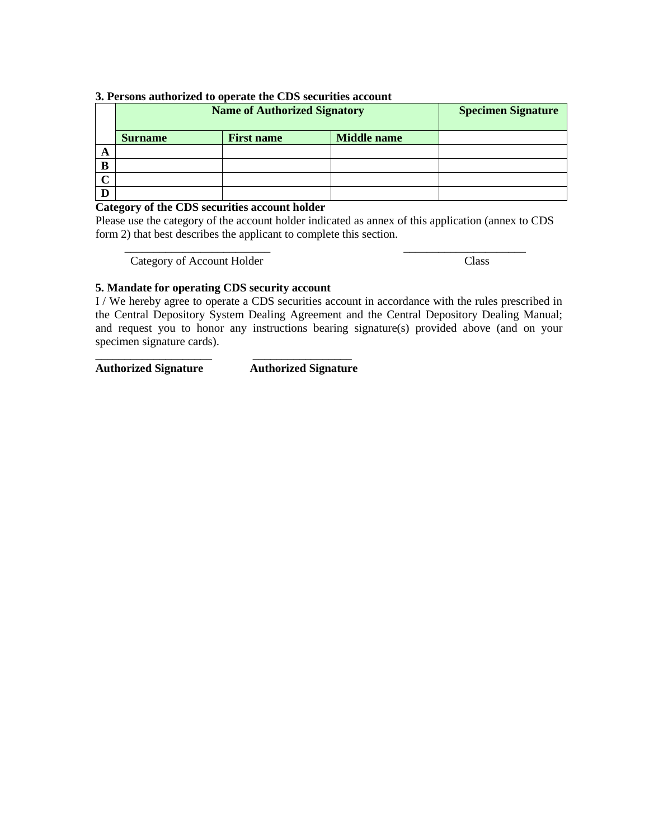## **3. Persons authorized to operate the CDS securities account**

|        |                | <b>Name of Authorized Signatory</b> |                    | <b>Specimen Signature</b> |
|--------|----------------|-------------------------------------|--------------------|---------------------------|
|        | <b>Surname</b> | <b>First name</b>                   | <b>Middle</b> name |                           |
| A      |                |                                     |                    |                           |
| B      |                |                                     |                    |                           |
| $\sim$ |                |                                     |                    |                           |
|        |                |                                     |                    |                           |

**Category of the CDS securities account holder**

Please use the category of the account holder indicated as annex of this application (annex to CDS form 2) that best describes the applicant to complete this section.

 $\overline{\phantom{a}}$  ,  $\overline{\phantom{a}}$  ,  $\overline{\phantom{a}}$  ,  $\overline{\phantom{a}}$  ,  $\overline{\phantom{a}}$  ,  $\overline{\phantom{a}}$  ,  $\overline{\phantom{a}}$  ,  $\overline{\phantom{a}}$  ,  $\overline{\phantom{a}}$  ,  $\overline{\phantom{a}}$  ,  $\overline{\phantom{a}}$  ,  $\overline{\phantom{a}}$  ,  $\overline{\phantom{a}}$  ,  $\overline{\phantom{a}}$  ,  $\overline{\phantom{a}}$  ,  $\overline{\phantom{a}}$ Category of Account Holder Class

## **5. Mandate for operating CDS security account**

**\_\_\_\_\_\_\_\_\_\_\_\_\_\_\_\_\_\_\_\_ \_\_\_\_\_\_\_\_\_\_\_\_\_\_\_\_\_**

I / We hereby agree to operate a CDS securities account in accordance with the rules prescribed in the Central Depository System Dealing Agreement and the Central Depository Dealing Manual; and request you to honor any instructions bearing signature(s) provided above (and on your specimen signature cards).

**Authorized Signature Authorized Signature**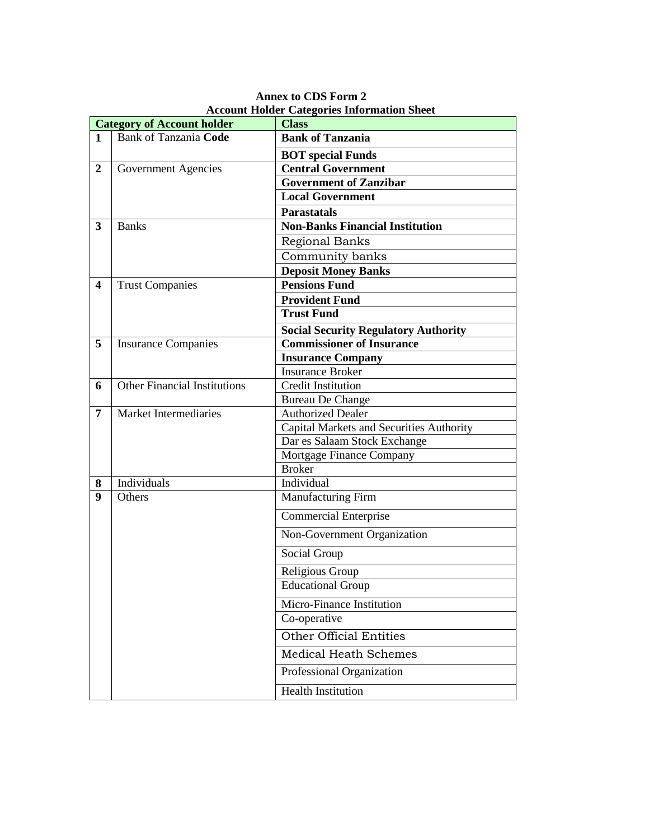|                         | <b>Category of Account holder</b>   | <b>Class</b>                                    |
|-------------------------|-------------------------------------|-------------------------------------------------|
| $\mathbf{1}$            | <b>Bank of Tanzania Code</b>        | <b>Bank of Tanzania</b>                         |
|                         |                                     | <b>BOT</b> special Funds                        |
| $\overline{2}$          | Government Agencies                 | <b>Central Government</b>                       |
|                         |                                     | <b>Government of Zanzibar</b>                   |
|                         |                                     | <b>Local Government</b>                         |
|                         |                                     | <b>Parastatals</b>                              |
| 3                       | <b>Banks</b>                        | <b>Non-Banks Financial Institution</b>          |
|                         |                                     | Regional Banks                                  |
|                         |                                     | Community banks                                 |
|                         |                                     | <b>Deposit Money Banks</b>                      |
| $\overline{\mathbf{4}}$ | <b>Trust Companies</b>              | <b>Pensions Fund</b>                            |
|                         |                                     | <b>Provident Fund</b>                           |
|                         |                                     | <b>Trust Fund</b>                               |
|                         |                                     | <b>Social Security Regulatory Authority</b>     |
| 5                       | <b>Insurance Companies</b>          | <b>Commissioner of Insurance</b>                |
|                         |                                     | <b>Insurance Company</b>                        |
|                         |                                     | <b>Insurance Broker</b>                         |
| 6                       | <b>Other Financial Institutions</b> | <b>Credit Institution</b>                       |
|                         |                                     | <b>Bureau De Change</b>                         |
| 7                       | Market Intermediaries               | Authorized Dealer                               |
|                         |                                     | <b>Capital Markets and Securities Authority</b> |
|                         |                                     | Dar es Salaam Stock Exchange                    |
|                         |                                     | Mortgage Finance Company                        |
|                         |                                     | <b>Broker</b>                                   |
| 8                       | Individuals                         | Individual                                      |
| 9                       | Others                              | Manufacturing Firm                              |
|                         |                                     | <b>Commercial Enterprise</b>                    |
|                         |                                     | Non-Government Organization                     |
|                         |                                     | Social Group                                    |
|                         |                                     | Religious Group                                 |
|                         |                                     | <b>Educational Group</b>                        |
|                         |                                     | Micro-Finance Institution                       |
|                         |                                     | Co-operative                                    |
|                         |                                     | <b>Other Official Entities</b>                  |
|                         |                                     | <b>Medical Heath Schemes</b>                    |
|                         |                                     | Professional Organization                       |
|                         |                                     | <b>Health Institution</b>                       |

 **Annex to CDS Form 2 Account Holder Categories Information Sheet**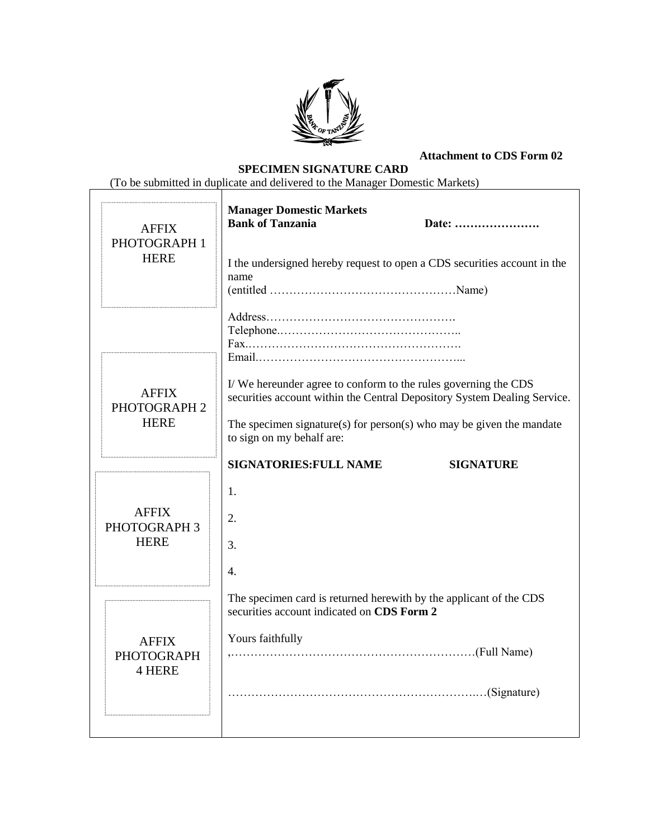

**Attachment to CDS Form 02**

 **SPECIMEN SIGNATURE CARD**

(To be submitted in duplicate and delivered to the Manager Domestic Markets)

| <b>AFFIX</b><br>PHOTOGRAPH 1<br><b>HERE</b> | <b>Manager Domestic Markets</b><br><b>Bank of Tanzania</b><br>Date:<br>I the undersigned hereby request to open a CDS securities account in the<br>name                                                                                         |
|---------------------------------------------|-------------------------------------------------------------------------------------------------------------------------------------------------------------------------------------------------------------------------------------------------|
| <b>AFFIX</b><br>PHOTOGRAPH 2<br><b>HERE</b> | I/We hereunder agree to conform to the rules governing the CDS<br>securities account within the Central Depository System Dealing Service.<br>The specimen signature(s) for person(s) who may be given the mandate<br>to sign on my behalf are: |
| <b>AFFIX</b><br>PHOTOGRAPH 3<br><b>HERE</b> | <b>SIGNATORIES: FULL NAME</b><br><b>SIGNATURE</b><br>1.<br>2.<br>3.<br>4.                                                                                                                                                                       |
| <b>AFFIX</b><br><b>PHOTOGRAPH</b><br>4 HERE | The specimen card is returned herewith by the applicant of the CDS<br>securities account indicated on CDS Form 2<br>Yours faithfully<br>(Signature) (Signature)                                                                                 |